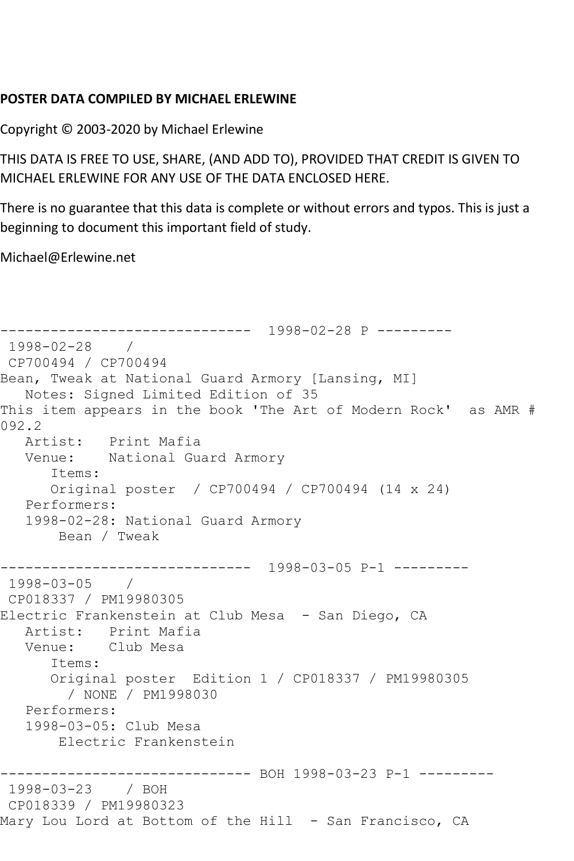## **POSTER DATA COMPILED BY MICHAEL ERLEWINE**

Copyright © 2003-2020 by Michael Erlewine

THIS DATA IS FREE TO USE, SHARE, (AND ADD TO), PROVIDED THAT CREDIT IS GIVEN TO MICHAEL ERLEWINE FOR ANY USE OF THE DATA ENCLOSED HERE.

There is no guarantee that this data is complete or without errors and typos. This is just a beginning to document this important field of study.

Michael@Erlewine.net

------------------------------ 1998-02-28 P --------- 1998-02-28 / CP700494 / CP700494 Bean, Tweak at National Guard Armory [Lansing, MI] Notes: Signed Limited Edition of 35 This item appears in the book 'The Art of Modern Rock' as AMR # 092.2 Artist: Print Mafia Venue: National Guard Armory Items: Original poster / CP700494 / CP700494 (14 x 24) Performers: 1998-02-28: National Guard Armory Bean / Tweak ------------------------------ 1998-03-05 P-1 --------- 1998-03-05 / CP018337 / PM19980305 Electric Frankenstein at Club Mesa - San Diego, CA Artist: Print Mafia Venue: Club Mesa Items: Original poster Edition 1 / CP018337 / PM19980305 / NONE / PM1998030 Performers: 1998-03-05: Club Mesa Electric Frankenstein ------------------------------ BOH 1998-03-23 P-1 --------- 1998-03-23 / BOH CP018339 / PM19980323 Mary Lou Lord at Bottom of the Hill - San Francisco, CA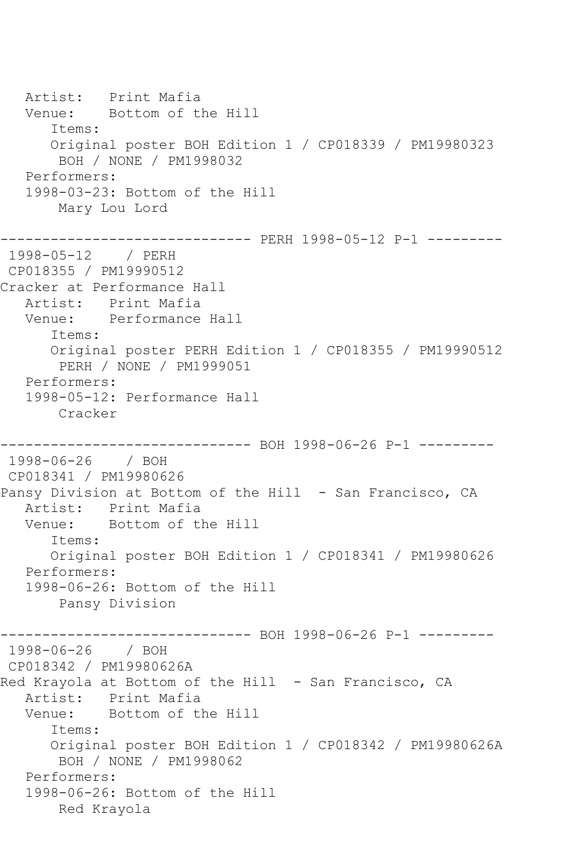Artist: Print Mafia<br>Venue: Bottom of tl Bottom of the Hill Items: Original poster BOH Edition 1 / CP018339 / PM19980323 BOH / NONE / PM1998032 Performers: 1998-03-23: Bottom of the Hill Mary Lou Lord ------------------------------ PERH 1998-05-12 P-1 --------- 1998-05-12 / PERH CP018355 / PM19990512 Cracker at Performance Hall Artist: Print Mafia Venue: Performance Hall Items: Original poster PERH Edition 1 / CP018355 / PM19990512 PERH / NONE / PM1999051 Performers: 1998-05-12: Performance Hall Cracker ------------------------------ BOH 1998-06-26 P-1 --------- 1998-06-26 / BOH CP018341 / PM19980626 Pansy Division at Bottom of the Hill - San Francisco, CA Artist: Print Mafia Venue: Bottom of the Hill Items: Original poster BOH Edition 1 / CP018341 / PM19980626 Performers: 1998-06-26: Bottom of the Hill Pansy Division ---------- BOH 1998-06-26 P-1 ---------1998-06-26 / BOH CP018342 / PM19980626A Red Krayola at Bottom of the Hill - San Francisco, CA Artist: Print Mafia<br>Venue: Bottom of th Bottom of the Hill Items: Original poster BOH Edition 1 / CP018342 / PM19980626A BOH / NONE / PM1998062 Performers: 1998-06-26: Bottom of the Hill Red Krayola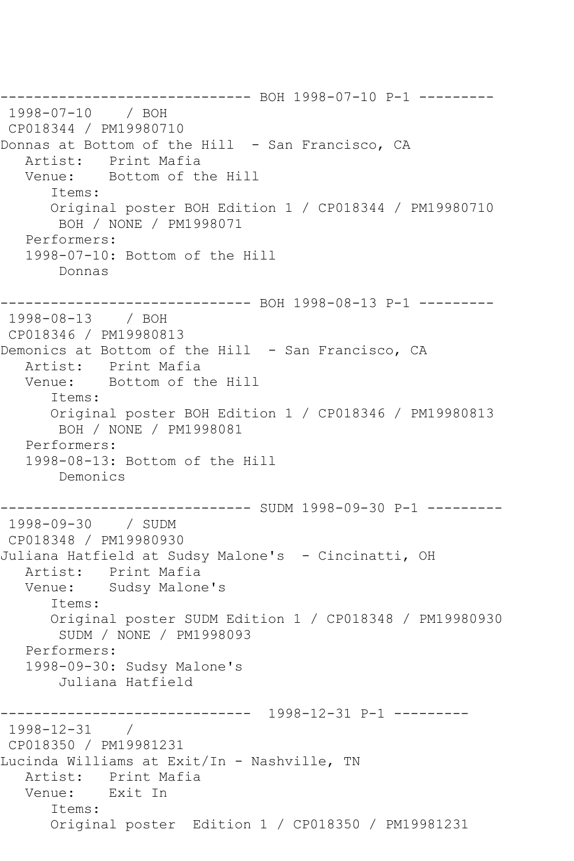------------------------------ BOH 1998-07-10 P-1 --------- 1998-07-10 / BOH CP018344 / PM19980710 Donnas at Bottom of the Hill - San Francisco, CA Artist: Print Mafia Venue: Bottom of the Hill Items: Original poster BOH Edition 1 / CP018344 / PM19980710 BOH / NONE / PM1998071 Performers: 1998-07-10: Bottom of the Hill Donnas ------------------------------ BOH 1998-08-13 P-1 --------- 1998-08-13 / BOH CP018346 / PM19980813 Demonics at Bottom of the Hill - San Francisco, CA Artist: Print Mafia Venue: Bottom of the Hill Items: Original poster BOH Edition 1 / CP018346 / PM19980813 BOH / NONE / PM1998081 Performers: 1998-08-13: Bottom of the Hill Demonics ------------------------------ SUDM 1998-09-30 P-1 --------- 1998-09-30 / SUDM CP018348 / PM19980930 Juliana Hatfield at Sudsy Malone's - Cincinatti, OH Artist: Print Mafia Venue: Sudsy Malone's Items: Original poster SUDM Edition 1 / CP018348 / PM19980930 SUDM / NONE / PM1998093 Performers: 1998-09-30: Sudsy Malone's Juliana Hatfield ------------------------------ 1998-12-31 P-1 --------- 1998-12-31 / CP018350 / PM19981231 Lucinda Williams at Exit/In - Nashville, TN Artist: Print Mafia Venue: Exit In Items: Original poster Edition 1 / CP018350 / PM19981231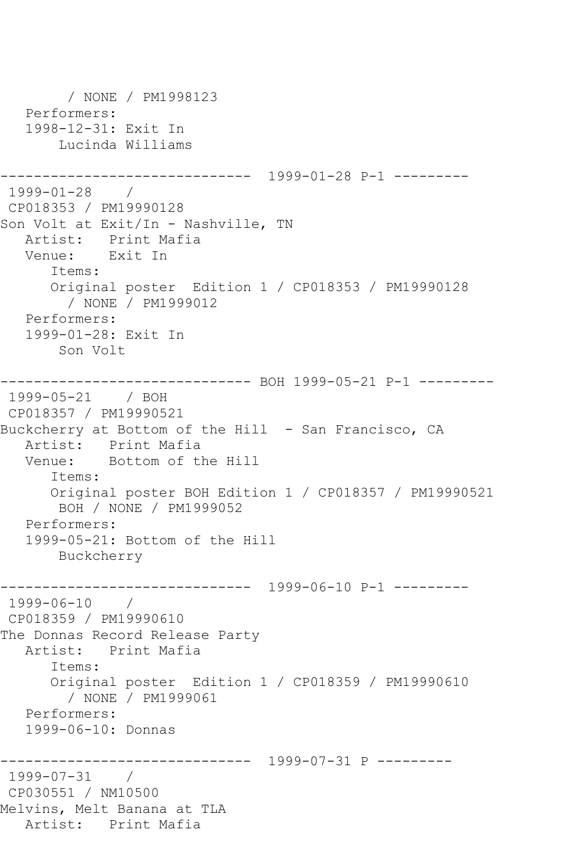/ NONE / PM1998123 Performers: 1998-12-31: Exit In Lucinda Williams ------------------------------ 1999-01-28 P-1 --------- 1999-01-28 / CP018353 / PM19990128 Son Volt at Exit/In - Nashville, TN Artist: Print Mafia Venue: Exit In Items: Original poster Edition 1 / CP018353 / PM19990128 / NONE / PM1999012 Performers: 1999-01-28: Exit In Son Volt ------------------------------ BOH 1999-05-21 P-1 --------- 1999-05-21 / BOH CP018357 / PM19990521 Buckcherry at Bottom of the Hill - San Francisco, CA Artist: Print Mafia Venue: Bottom of the Hill Items: Original poster BOH Edition 1 / CP018357 / PM19990521 BOH / NONE / PM1999052 Performers: 1999-05-21: Bottom of the Hill Buckcherry ------------------------------ 1999-06-10 P-1 --------- 1999-06-10 / CP018359 / PM19990610 The Donnas Record Release Party Artist: Print Mafia Items: Original poster Edition 1 / CP018359 / PM19990610 / NONE / PM1999061 Performers: 1999-06-10: Donnas ------------------------------ 1999-07-31 P --------- 1999-07-31 / CP030551 / NM10500 Melvins, Melt Banana at TLA Artist: Print Mafia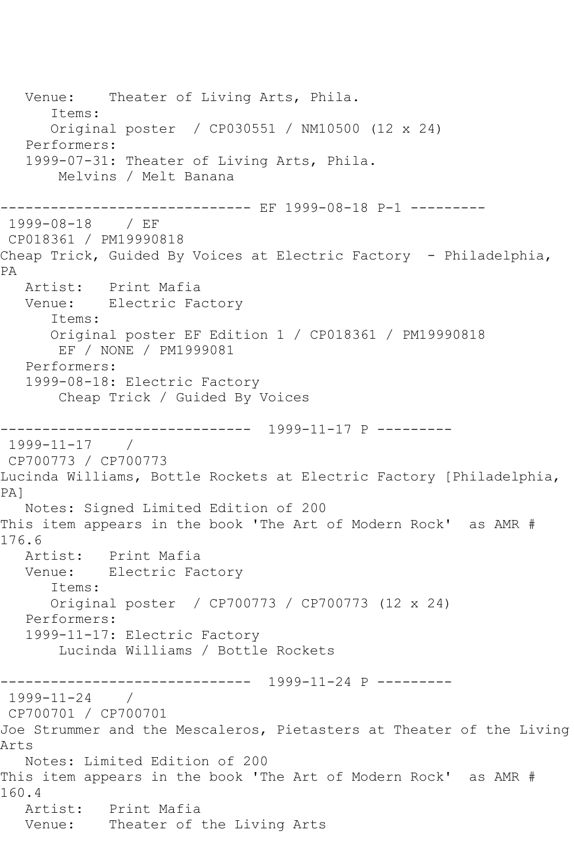Venue: Theater of Living Arts, Phila. Items: Original poster / CP030551 / NM10500 (12 x 24) Performers: 1999-07-31: Theater of Living Arts, Phila. Melvins / Melt Banana ------------------------------ EF 1999-08-18 P-1 --------- 1999-08-18 / EF CP018361 / PM19990818 Cheap Trick, Guided By Voices at Electric Factory - Philadelphia, PA Artist: Print Mafia Venue: Electric Factory Items: Original poster EF Edition 1 / CP018361 / PM19990818 EF / NONE / PM1999081 Performers: 1999-08-18: Electric Factory Cheap Trick / Guided By Voices ------------------------------ 1999-11-17 P --------- 1999-11-17 / CP700773 / CP700773 Lucinda Williams, Bottle Rockets at Electric Factory [Philadelphia, PA] Notes: Signed Limited Edition of 200 This item appears in the book 'The Art of Modern Rock' as AMR # 176.6 Artist: Print Mafia Venue: Electric Factory Items: Original poster / CP700773 / CP700773 (12 x 24) Performers: 1999-11-17: Electric Factory Lucinda Williams / Bottle Rockets ------------------------------ 1999-11-24 P --------- 1999-11-24 / CP700701 / CP700701 Joe Strummer and the Mescaleros, Pietasters at Theater of the Living Arts Notes: Limited Edition of 200 This item appears in the book 'The Art of Modern Rock' as AMR # 160.4 Artist: Print Mafia Venue: Theater of the Living Arts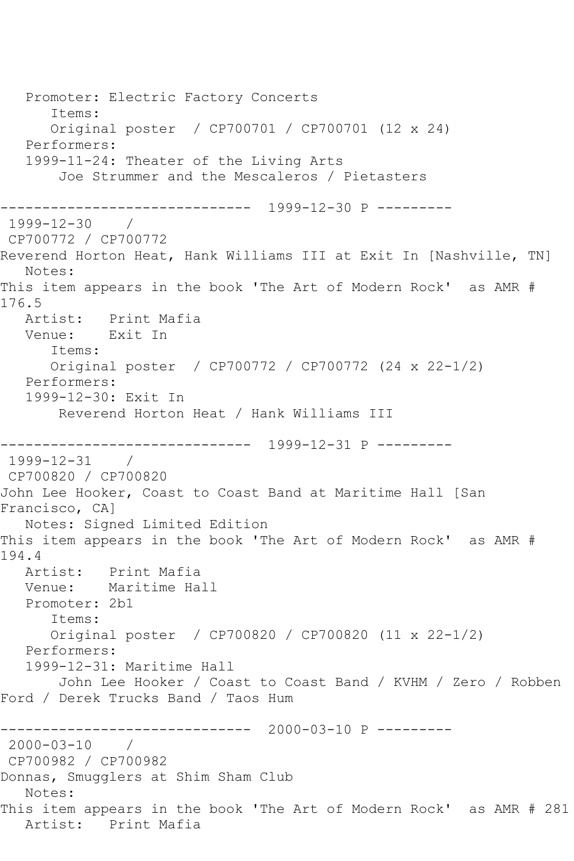Promoter: Electric Factory Concerts Items: Original poster / CP700701 / CP700701 (12 x 24) Performers: 1999-11-24: Theater of the Living Arts Joe Strummer and the Mescaleros / Pietasters ------------------------------ 1999-12-30 P --------- 1999-12-30 / CP700772 / CP700772 Reverend Horton Heat, Hank Williams III at Exit In [Nashville, TN] Notes: This item appears in the book 'The Art of Modern Rock' as AMR # 176.5 Artist: Print Mafia Venue: Exit In Items: Original poster / CP700772 / CP700772 (24 x 22-1/2) Performers: 1999-12-30: Exit In Reverend Horton Heat / Hank Williams III ------------------------------ 1999-12-31 P --------- 1999-12-31 / CP700820 / CP700820 John Lee Hooker, Coast to Coast Band at Maritime Hall [San Francisco, CA] Notes: Signed Limited Edition This item appears in the book 'The Art of Modern Rock' as AMR # 194.4<br>Artist: Print Mafia Venue: Maritime Hall Promoter: 2b1 Items: Original poster / CP700820 / CP700820 (11 x 22-1/2) Performers: 1999-12-31: Maritime Hall John Lee Hooker / Coast to Coast Band / KVHM / Zero / Robben Ford / Derek Trucks Band / Taos Hum ------------------------------ 2000-03-10 P --------- 2000-03-10 / CP700982 / CP700982 Donnas, Smugglers at Shim Sham Club Notes: This item appears in the book 'The Art of Modern Rock' as AMR # 281 Artist: Print Mafia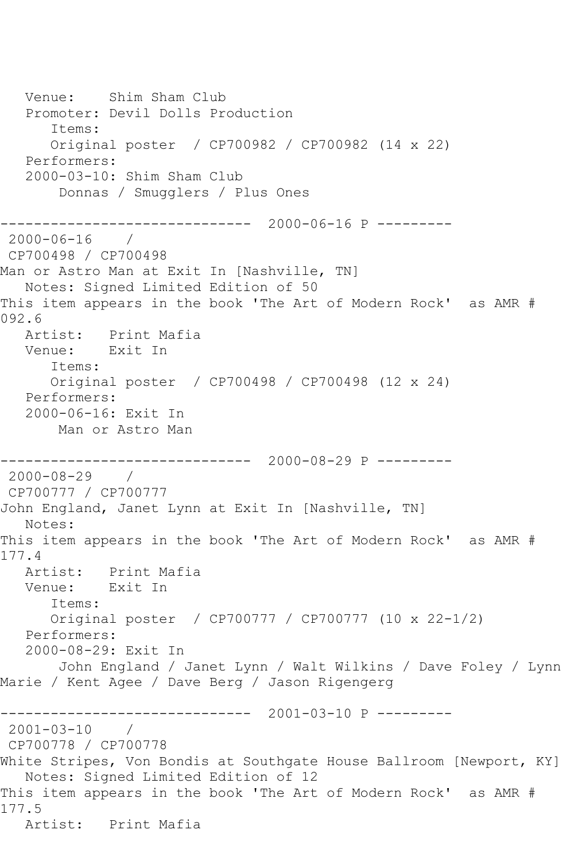Venue: Shim Sham Club Promoter: Devil Dolls Production Items: Original poster / CP700982 / CP700982 (14 x 22) Performers: 2000-03-10: Shim Sham Club Donnas / Smugglers / Plus Ones ------------------------------ 2000-06-16 P --------- 2000-06-16 / CP700498 / CP700498 Man or Astro Man at Exit In [Nashville, TN] Notes: Signed Limited Edition of 50 This item appears in the book 'The Art of Modern Rock' as AMR # 092.6 Artist: Print Mafia Venue: Exit In Items: Original poster / CP700498 / CP700498 (12 x 24) Performers: 2000-06-16: Exit In Man or Astro Man ------------------------------ 2000-08-29 P --------- 2000-08-29 / CP700777 / CP700777 John England, Janet Lynn at Exit In [Nashville, TN] Notes: This item appears in the book 'The Art of Modern Rock' as AMR # 177.4 Artist: Print Mafia Venue: Exit In Items: Original poster / CP700777 / CP700777 (10 x 22-1/2) Performers: 2000-08-29: Exit In John England / Janet Lynn / Walt Wilkins / Dave Foley / Lynn Marie / Kent Agee / Dave Berg / Jason Rigengerg ------------------------------ 2001-03-10 P --------- 2001-03-10 / CP700778 / CP700778 White Stripes, Von Bondis at Southgate House Ballroom [Newport, KY] Notes: Signed Limited Edition of 12 This item appears in the book 'The Art of Modern Rock' as AMR # 177.5 Artist: Print Mafia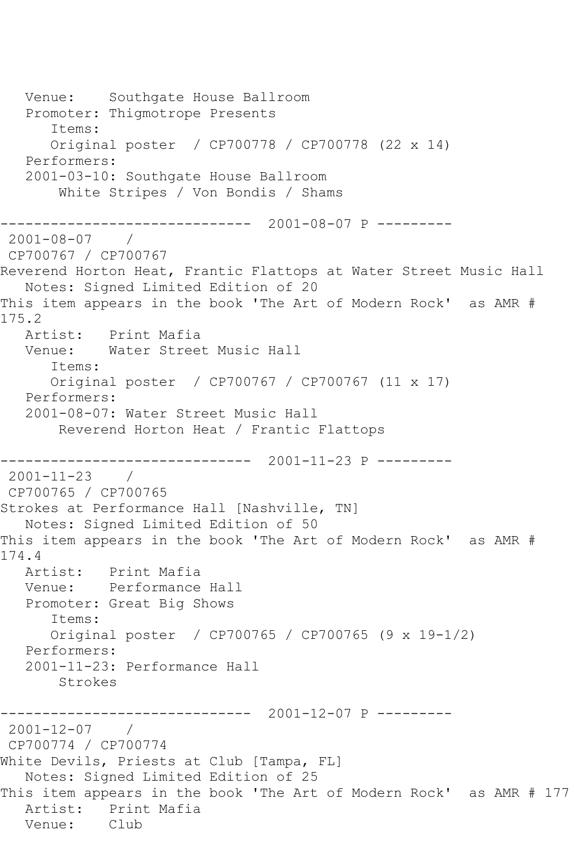Venue: Southgate House Ballroom Promoter: Thigmotrope Presents Items: Original poster / CP700778 / CP700778 (22 x 14) Performers: 2001-03-10: Southgate House Ballroom White Stripes / Von Bondis / Shams ------------------------------ 2001-08-07 P --------- 2001-08-07 / CP700767 / CP700767 Reverend Horton Heat, Frantic Flattops at Water Street Music Hall Notes: Signed Limited Edition of 20 This item appears in the book 'The Art of Modern Rock' as AMR # 175.2 Artist: Print Mafia Venue: Water Street Music Hall Items: Original poster / CP700767 / CP700767 (11 x 17) Performers: 2001-08-07: Water Street Music Hall Reverend Horton Heat / Frantic Flattops ------------------------------ 2001-11-23 P --------- 2001-11-23 / CP700765 / CP700765 Strokes at Performance Hall [Nashville, TN] Notes: Signed Limited Edition of 50 This item appears in the book 'The Art of Modern Rock' as AMR # 174.4 Artist: Print Mafia Venue: Performance Hall Promoter: Great Big Shows Items: Original poster / CP700765 / CP700765 (9 x 19-1/2) Performers: 2001-11-23: Performance Hall Strokes ------------------------------ 2001-12-07 P --------- 2001-12-07 / CP700774 / CP700774 White Devils, Priests at Club [Tampa, FL] Notes: Signed Limited Edition of 25 This item appears in the book 'The Art of Modern Rock' as AMR # 177 Artist: Print Mafia<br>Venue: Club Venue: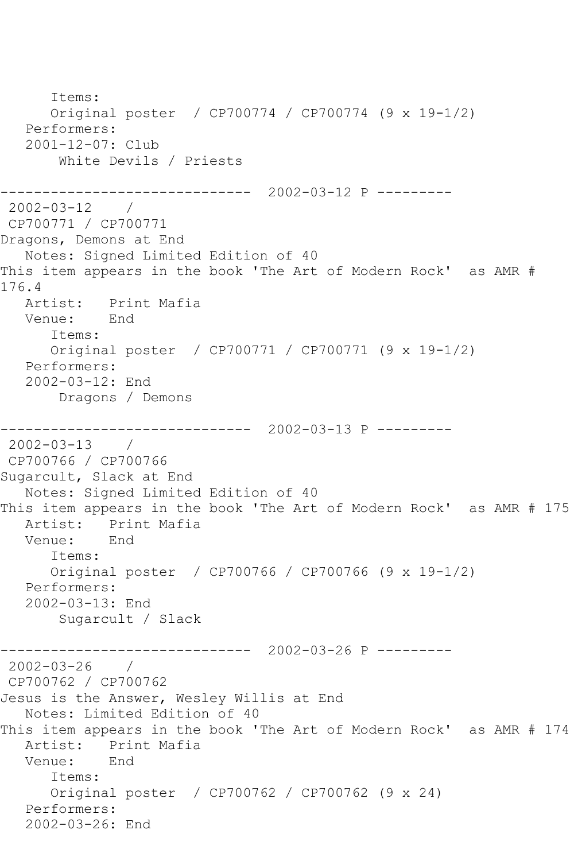Items: Original poster / CP700774 / CP700774 (9 x 19-1/2) Performers: 2001-12-07: Club White Devils / Priests ------------------------------ 2002-03-12 P --------- 2002-03-12 / CP700771 / CP700771 Dragons, Demons at End Notes: Signed Limited Edition of 40 This item appears in the book 'The Art of Modern Rock' as AMR # 176.4 Artist: Print Mafia Venue: End Items: Original poster / CP700771 / CP700771 (9 x 19-1/2) Performers: 2002-03-12: End Dragons / Demons ------------------------------ 2002-03-13 P --------- 2002-03-13 / CP700766 / CP700766 Sugarcult, Slack at End Notes: Signed Limited Edition of 40 This item appears in the book 'The Art of Modern Rock' as AMR # 175 Artist: Print Mafia<br>Venue: End Venue: Items: Original poster / CP700766 / CP700766 (9 x 19-1/2) Performers: 2002-03-13: End Sugarcult / Slack ------------------------------ 2002-03-26 P --------- 2002-03-26 / CP700762 / CP700762 Jesus is the Answer, Wesley Willis at End Notes: Limited Edition of 40 This item appears in the book 'The Art of Modern Rock' as AMR # 174 Artist: Print Mafia Venue: End Items: Original poster / CP700762 / CP700762 (9 x 24) Performers: 2002-03-26: End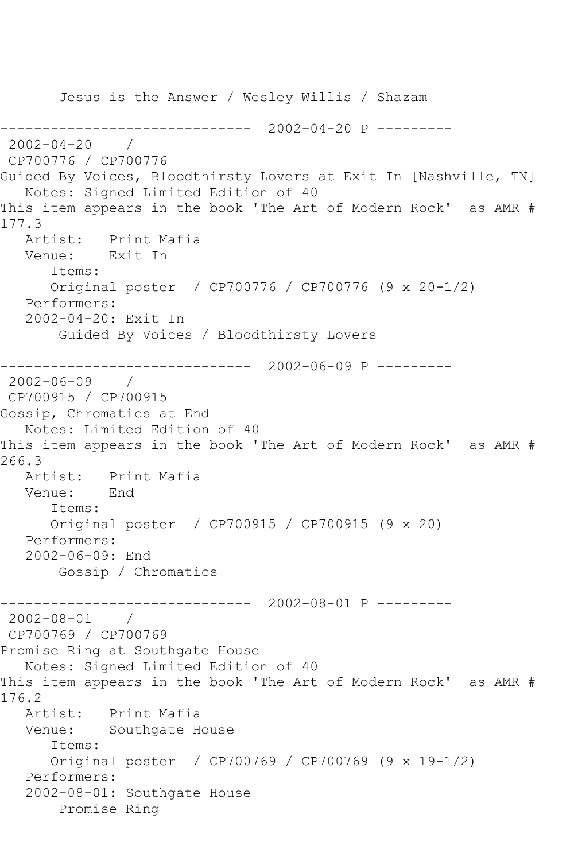Jesus is the Answer / Wesley Willis / Shazam ------------------------------ 2002-04-20 P --------- 2002-04-20 / CP700776 / CP700776 Guided By Voices, Bloodthirsty Lovers at Exit In [Nashville, TN] Notes: Signed Limited Edition of 40 This item appears in the book 'The Art of Modern Rock' as AMR # 177.3 Artist: Print Mafia Venue: Exit In Items: Original poster / CP700776 / CP700776 (9 x 20-1/2) Performers: 2002-04-20: Exit In Guided By Voices / Bloodthirsty Lovers ------------------------------ 2002-06-09 P --------- 2002-06-09 / CP700915 / CP700915 Gossip, Chromatics at End Notes: Limited Edition of 40 This item appears in the book 'The Art of Modern Rock' as AMR # 266.3<br>: Artist Print Mafia<br>End Venue: Items: Original poster / CP700915 / CP700915 (9 x 20) Performers: 2002-06-09: End Gossip / Chromatics ------------------------------ 2002-08-01 P ---------  $2002 - 08 - 01$ CP700769 / CP700769 Promise Ring at Southgate House Notes: Signed Limited Edition of 40 This item appears in the book 'The Art of Modern Rock' as AMR # 176.2<br>: Artist Print Mafia Venue: Southgate House Items: Original poster / CP700769 / CP700769 (9 x 19-1/2) Performers: 2002-08-01: Southgate House Promise Ring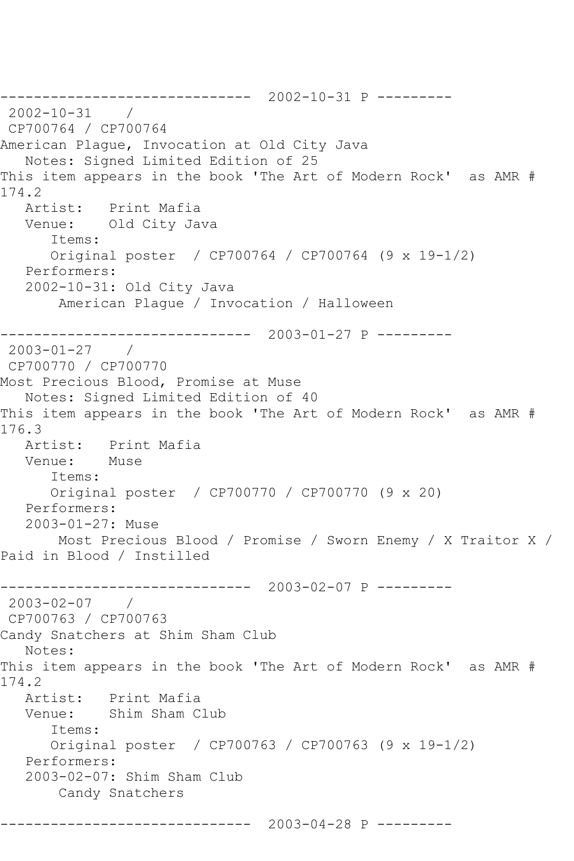------------------------------ 2002-10-31 P --------- 2002-10-31 / CP700764 / CP700764 American Plague, Invocation at Old City Java Notes: Signed Limited Edition of 25 This item appears in the book 'The Art of Modern Rock' as AMR # 174.2<br>Artist: Print Mafia Venue: Old City Java Items: Original poster / CP700764 / CP700764 (9 x 19-1/2) Performers: 2002-10-31: Old City Java American Plague / Invocation / Halloween ------------------------------ 2003-01-27 P --------- 2003-01-27 / CP700770 / CP700770 Most Precious Blood, Promise at Muse Notes: Signed Limited Edition of 40 This item appears in the book 'The Art of Modern Rock' as AMR # 176.3 Artist: Print Mafia Venue: Muse Items: Original poster / CP700770 / CP700770 (9 x 20) Performers: 2003-01-27: Muse Most Precious Blood / Promise / Sworn Enemy / X Traitor X / Paid in Blood / Instilled ------------------------------ 2003-02-07 P --------- 2003-02-07 / CP700763 / CP700763 Candy Snatchers at Shim Sham Club Notes: This item appears in the book 'The Art of Modern Rock' as AMR # 174.2 Artist: Print Mafia<br>Venue: Shim Sham C Shim Sham Club Items: Original poster / CP700763 / CP700763 (9 x 19-1/2) Performers: 2003-02-07: Shim Sham Club Candy Snatchers

------------------------------ 2003-04-28 P ---------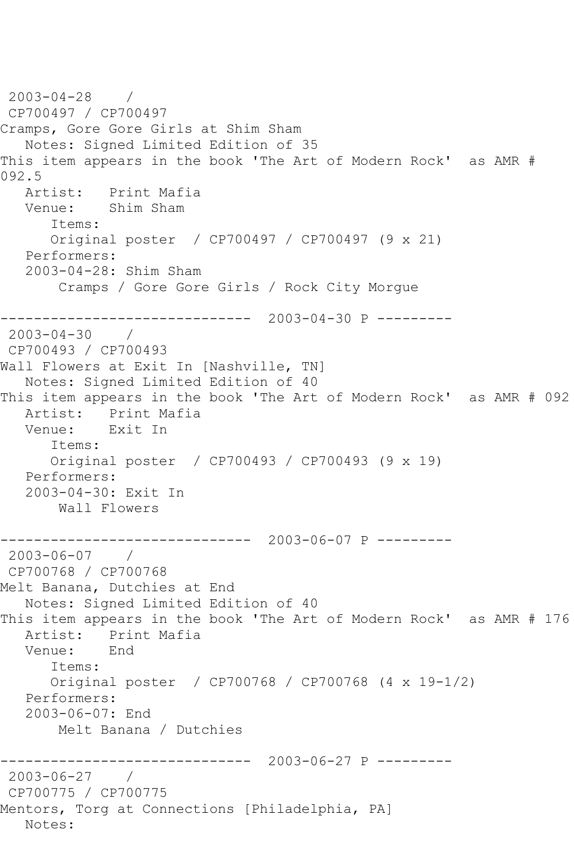```
2003-04-28 / 
CP700497 / CP700497
Cramps, Gore Gore Girls at Shim Sham
   Notes: Signed Limited Edition of 35
This item appears in the book 'The Art of Modern Rock' as AMR # 
092.5
   Artist: Print Mafia
   Venue: Shim Sham
       Items:
      Original poster / CP700497 / CP700497 (9 x 21)
   Performers:
   2003-04-28: Shim Sham
        Cramps / Gore Gore Girls / Rock City Morgue
           ------------------------------ 2003-04-30 P ---------
2003-04-30 / 
CP700493 / CP700493
Wall Flowers at Exit In [Nashville, TN]
   Notes: Signed Limited Edition of 40
This item appears in the book 'The Art of Modern Rock' as AMR # 092
   Artist: Print Mafia
   Venue: Exit In
      Items:
      Original poster / CP700493 / CP700493 (9 x 19)
   Performers:
   2003-04-30: Exit In
       Wall Flowers
                ------------------------------ 2003-06-07 P ---------
2003-06-07 / 
CP700768 / CP700768
Melt Banana, Dutchies at End
   Notes: Signed Limited Edition of 40
This item appears in the book 'The Art of Modern Rock' as AMR # 176
   Artist: Print Mafia
   Venue: End
       Items:
      Original poster / CP700768 / CP700768 (4 x 19-1/2)
   Performers:
   2003-06-07: End
       Melt Banana / Dutchies
                  ------------------------------ 2003-06-27 P ---------
2003-06-27 / 
CP700775 / CP700775
Mentors, Torg at Connections [Philadelphia, PA]
   Notes:
```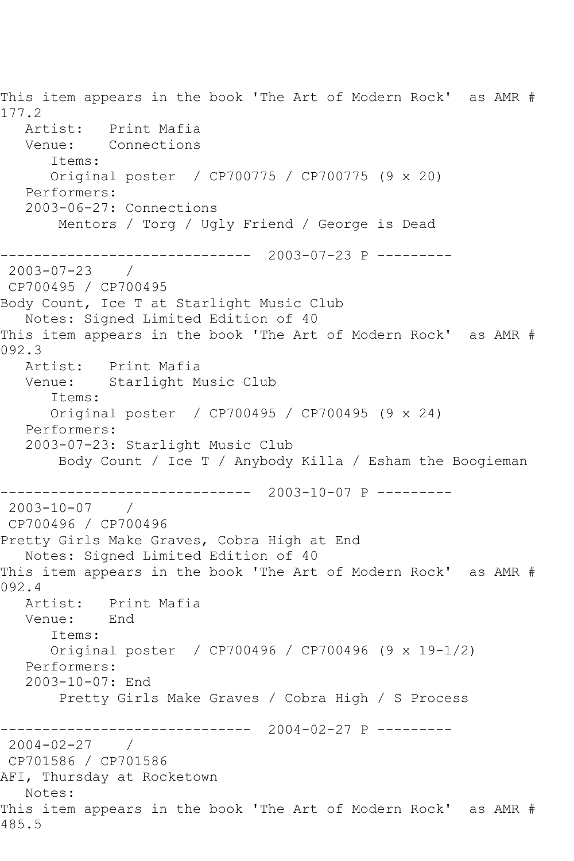This item appears in the book 'The Art of Modern Rock' as AMR # 177.2 Artist: Print Mafia Venue: Connections Items: Original poster / CP700775 / CP700775 (9 x 20) Performers: 2003-06-27: Connections Mentors / Torg / Ugly Friend / George is Dead ------------------------------ 2003-07-23 P --------- 2003-07-23 / CP700495 / CP700495 Body Count, Ice T at Starlight Music Club Notes: Signed Limited Edition of 40 This item appears in the book 'The Art of Modern Rock' as AMR # 092.3 Artist: Print Mafia Venue: Starlight Music Club Items: Original poster / CP700495 / CP700495 (9 x 24) Performers: 2003-07-23: Starlight Music Club Body Count / Ice T / Anybody Killa / Esham the Boogieman ------------------------------ 2003-10-07 P --------- 2003-10-07 / CP700496 / CP700496 Pretty Girls Make Graves, Cobra High at End Notes: Signed Limited Edition of 40 This item appears in the book 'The Art of Modern Rock' as AMR # 092.4 Artist: Print Mafia<br>Venue: End Venue: Items: Original poster / CP700496 / CP700496 (9 x 19-1/2) Performers: 2003-10-07: End Pretty Girls Make Graves / Cobra High / S Process ------------------------------ 2004-02-27 P --------- 2004-02-27 / CP701586 / CP701586 AFI, Thursday at Rocketown Notes: This item appears in the book 'The Art of Modern Rock' as AMR # 485.5